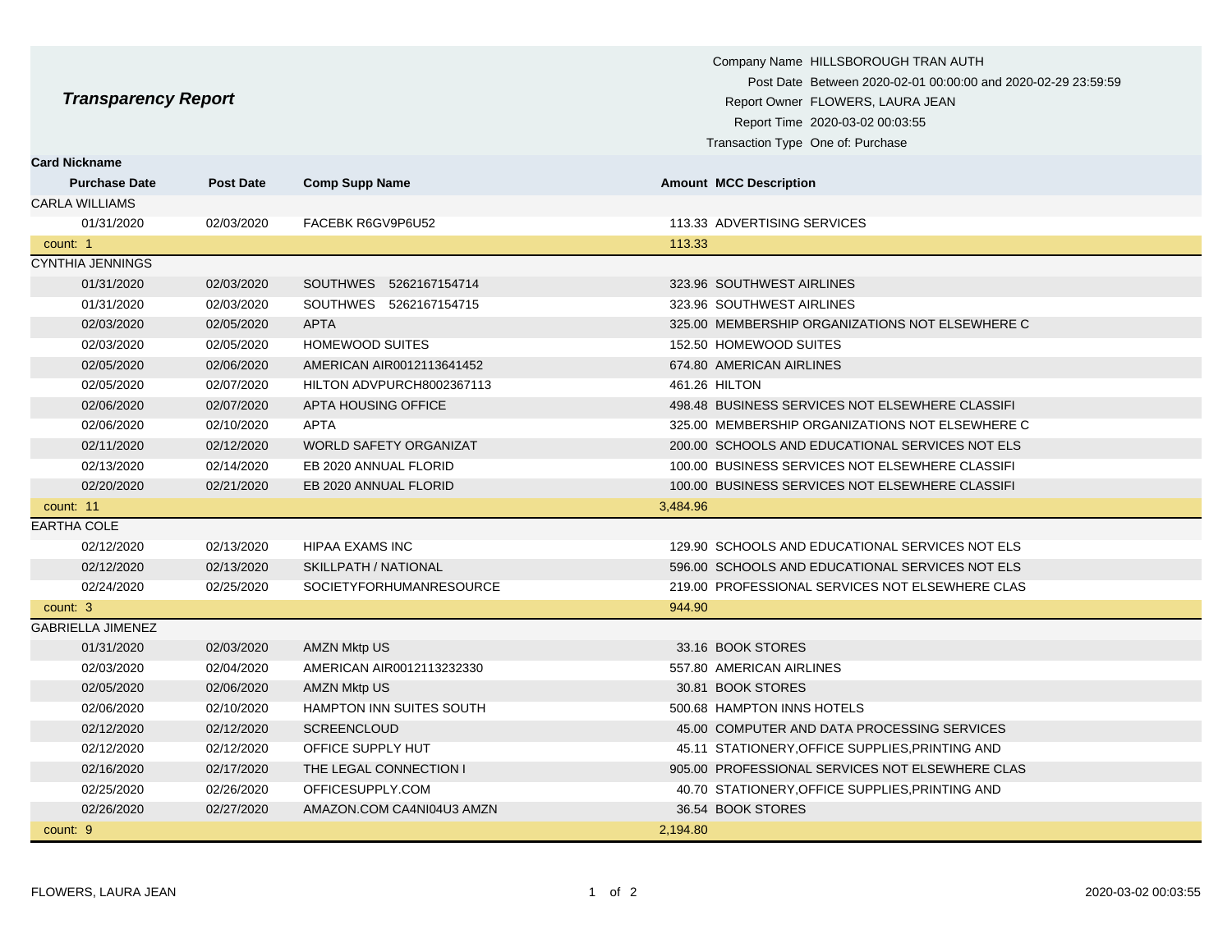| <b>Transparency Report</b>                   |                  |                                | Company Name HILLSBOROUGH TRAN AUTH<br>Post Date Between 2020-02-01 00:00:00 and 2020-02-29 23:59:59<br>Report Owner FLOWERS, LAURA JEAN<br>Report Time 2020-03-02 00:03:55<br>Transaction Type One of: Purchase |
|----------------------------------------------|------------------|--------------------------------|------------------------------------------------------------------------------------------------------------------------------------------------------------------------------------------------------------------|
| <b>Card Nickname</b><br><b>Purchase Date</b> | <b>Post Date</b> | <b>Comp Supp Name</b>          | <b>Amount MCC Description</b>                                                                                                                                                                                    |
| <b>CARLA WILLIAMS</b>                        |                  |                                |                                                                                                                                                                                                                  |
| 01/31/2020                                   | 02/03/2020       | FACEBK R6GV9P6U52              | 113.33 ADVERTISING SERVICES                                                                                                                                                                                      |
| count: 1                                     |                  |                                | 113.33                                                                                                                                                                                                           |
| <b>CYNTHIA JENNINGS</b>                      |                  |                                |                                                                                                                                                                                                                  |
| 01/31/2020                                   | 02/03/2020       | SOUTHWES 5262167154714         | 323.96 SOUTHWEST AIRLINES                                                                                                                                                                                        |
| 01/31/2020                                   | 02/03/2020       | SOUTHWES 5262167154715         | 323.96 SOUTHWEST AIRLINES                                                                                                                                                                                        |
| 02/03/2020                                   | 02/05/2020       | <b>APTA</b>                    | 325.00 MEMBERSHIP ORGANIZATIONS NOT ELSEWHERE C                                                                                                                                                                  |
| 02/03/2020                                   | 02/05/2020       | <b>HOMEWOOD SUITES</b>         | 152.50 HOMEWOOD SUITES                                                                                                                                                                                           |
| 02/05/2020                                   | 02/06/2020       | AMERICAN AIR0012113641452      | 674.80 AMERICAN AIRLINES                                                                                                                                                                                         |
| 02/05/2020                                   | 02/07/2020       | HILTON ADVPURCH8002367113      | 461.26 HILTON                                                                                                                                                                                                    |
| 02/06/2020                                   | 02/07/2020       | APTA HOUSING OFFICE            | 498.48 BUSINESS SERVICES NOT ELSEWHERE CLASSIFI                                                                                                                                                                  |
| 02/06/2020                                   | 02/10/2020       | <b>APTA</b>                    | 325.00 MEMBERSHIP ORGANIZATIONS NOT ELSEWHERE C                                                                                                                                                                  |
| 02/11/2020                                   | 02/12/2020       | <b>WORLD SAFETY ORGANIZAT</b>  | 200.00 SCHOOLS AND EDUCATIONAL SERVICES NOT ELS                                                                                                                                                                  |
| 02/13/2020                                   | 02/14/2020       | EB 2020 ANNUAL FLORID          | 100.00 BUSINESS SERVICES NOT ELSEWHERE CLASSIFI                                                                                                                                                                  |
| 02/20/2020                                   | 02/21/2020       | EB 2020 ANNUAL FLORID          | 100.00 BUSINESS SERVICES NOT ELSEWHERE CLASSIFI                                                                                                                                                                  |
| count: 11                                    |                  |                                | 3,484.96                                                                                                                                                                                                         |
| <b>EARTHA COLE</b>                           |                  |                                |                                                                                                                                                                                                                  |
| 02/12/2020                                   | 02/13/2020       | <b>HIPAA EXAMS INC</b>         | 129.90 SCHOOLS AND EDUCATIONAL SERVICES NOT ELS                                                                                                                                                                  |
| 02/12/2020                                   | 02/13/2020       | SKILLPATH / NATIONAL           | 596.00 SCHOOLS AND EDUCATIONAL SERVICES NOT ELS                                                                                                                                                                  |
| 02/24/2020                                   | 02/25/2020       | <b>SOCIETYFORHUMANRESOURCE</b> | 219.00 PROFESSIONAL SERVICES NOT ELSEWHERE CLAS                                                                                                                                                                  |
| count: 3                                     |                  |                                | 944.90                                                                                                                                                                                                           |
| <b>GABRIELLA JIMENEZ</b>                     |                  |                                |                                                                                                                                                                                                                  |
| 01/31/2020                                   | 02/03/2020       | <b>AMZN Mktp US</b>            | 33.16 BOOK STORES                                                                                                                                                                                                |
| 02/03/2020                                   | 02/04/2020       | AMERICAN AIR0012113232330      | 557.80 AMERICAN AIRLINES                                                                                                                                                                                         |
| 02/05/2020                                   | 02/06/2020       | <b>AMZN Mktp US</b>            | 30.81 BOOK STORES                                                                                                                                                                                                |
| 02/06/2020                                   | 02/10/2020       | HAMPTON INN SUITES SOUTH       | 500.68 HAMPTON INNS HOTELS                                                                                                                                                                                       |
| 02/12/2020                                   | 02/12/2020       | <b>SCREENCLOUD</b>             | 45.00 COMPUTER AND DATA PROCESSING SERVICES                                                                                                                                                                      |
| 02/12/2020                                   | 02/12/2020       | OFFICE SUPPLY HUT              | 45.11 STATIONERY, OFFICE SUPPLIES, PRINTING AND                                                                                                                                                                  |
| 02/16/2020                                   | 02/17/2020       | THE LEGAL CONNECTION I         | 905.00 PROFESSIONAL SERVICES NOT ELSEWHERE CLAS                                                                                                                                                                  |
| 02/25/2020                                   | 02/26/2020       | OFFICESUPPLY.COM               | 40.70 STATIONERY, OFFICE SUPPLIES, PRINTING AND                                                                                                                                                                  |
| 02/26/2020                                   | 02/27/2020       | AMAZON.COM CA4NI04U3 AMZN      | 36.54 BOOK STORES                                                                                                                                                                                                |
| count: 9                                     |                  |                                | 2,194.80                                                                                                                                                                                                         |